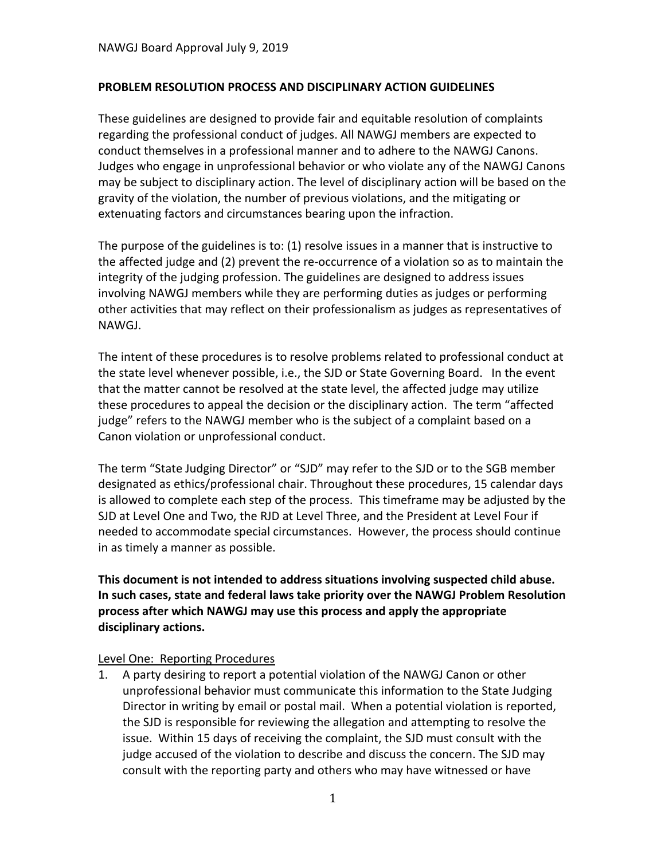### **PROBLEM RESOLUTION PROCESS AND DISCIPLINARY ACTION GUIDELINES**

These guidelines are designed to provide fair and equitable resolution of complaints regarding the professional conduct of judges. All NAWGJ members are expected to conduct themselves in a professional manner and to adhere to the NAWGJ Canons. Judges who engage in unprofessional behavior or who violate any of the NAWGJ Canons may be subject to disciplinary action. The level of disciplinary action will be based on the gravity of the violation, the number of previous violations, and the mitigating or extenuating factors and circumstances bearing upon the infraction.

The purpose of the guidelines is to: (1) resolve issues in a manner that is instructive to the affected judge and (2) prevent the re-occurrence of a violation so as to maintain the integrity of the judging profession. The guidelines are designed to address issues involving NAWGJ members while they are performing duties as judges or performing other activities that may reflect on their professionalism as judges as representatives of NAWGJ.

The intent of these procedures is to resolve problems related to professional conduct at the state level whenever possible, i.e., the SJD or State Governing Board. In the event that the matter cannot be resolved at the state level, the affected judge may utilize these procedures to appeal the decision or the disciplinary action. The term "affected judge" refers to the NAWGJ member who is the subject of a complaint based on a Canon violation or unprofessional conduct.

The term "State Judging Director" or "SJD" may refer to the SJD or to the SGB member designated as ethics/professional chair. Throughout these procedures, 15 calendar days is allowed to complete each step of the process. This timeframe may be adjusted by the SJD at Level One and Two, the RJD at Level Three, and the President at Level Four if needed to accommodate special circumstances. However, the process should continue in as timely a manner as possible.

**This document is not intended to address situations involving suspected child abuse. In such cases, state and federal laws take priority over the NAWGJ Problem Resolution process after which NAWGJ may use this process and apply the appropriate disciplinary actions.**

#### Level One: Reporting Procedures

1. A party desiring to report a potential violation of the NAWGJ Canon or other unprofessional behavior must communicate this information to the State Judging Director in writing by email or postal mail. When a potential violation is reported, the SJD is responsible for reviewing the allegation and attempting to resolve the issue. Within 15 days of receiving the complaint, the SJD must consult with the judge accused of the violation to describe and discuss the concern. The SJD may consult with the reporting party and others who may have witnessed or have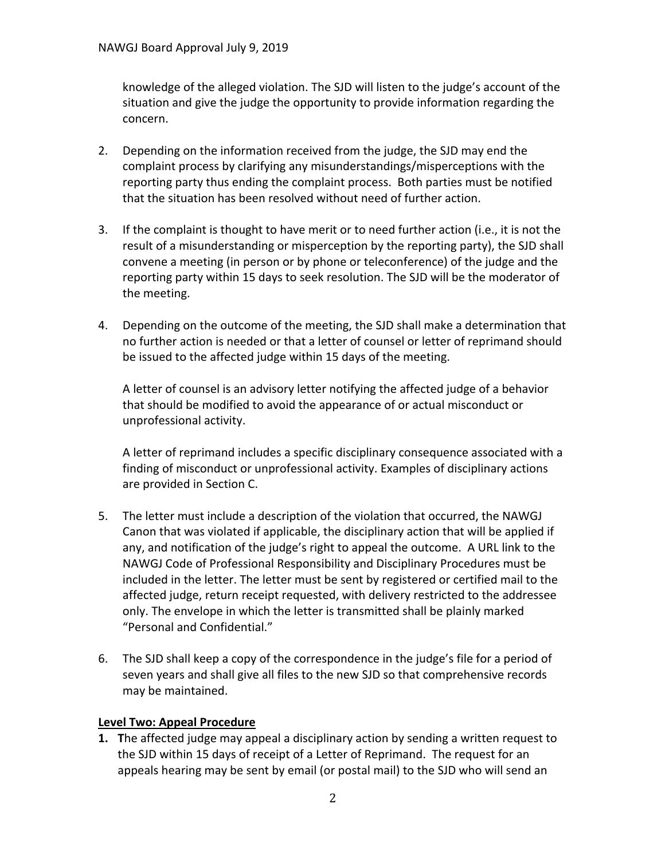knowledge of the alleged violation. The SJD will listen to the judge's account of the situation and give the judge the opportunity to provide information regarding the concern.

- 2. Depending on the information received from the judge, the SJD may end the complaint process by clarifying any misunderstandings/misperceptions with the reporting party thus ending the complaint process. Both parties must be notified that the situation has been resolved without need of further action.
- 3. If the complaint is thought to have merit or to need further action (i.e., it is not the result of a misunderstanding or misperception by the reporting party), the SJD shall convene a meeting (in person or by phone or teleconference) of the judge and the reporting party within 15 days to seek resolution. The SJD will be the moderator of the meeting.
- 4. Depending on the outcome of the meeting, the SJD shall make a determination that no further action is needed or that a letter of counsel or letter of reprimand should be issued to the affected judge within 15 days of the meeting.

A letter of counsel is an advisory letter notifying the affected judge of a behavior that should be modified to avoid the appearance of or actual misconduct or unprofessional activity.

A letter of reprimand includes a specific disciplinary consequence associated with a finding of misconduct or unprofessional activity. Examples of disciplinary actions are provided in Section C.

- 5. The letter must include a description of the violation that occurred, the NAWGJ Canon that was violated if applicable, the disciplinary action that will be applied if any, and notification of the judge's right to appeal the outcome. A URL link to the NAWGJ Code of Professional Responsibility and Disciplinary Procedures must be included in the letter. The letter must be sent by registered or certified mail to the affected judge, return receipt requested, with delivery restricted to the addressee only. The envelope in which the letter is transmitted shall be plainly marked "Personal and Confidential."
- 6. The SJD shall keep a copy of the correspondence in the judge's file for a period of seven years and shall give all files to the new SJD so that comprehensive records may be maintained.

# **Level Two: Appeal Procedure**

**1. T**he affected judge may appeal a disciplinary action by sending a written request to the SJD within 15 days of receipt of a Letter of Reprimand. The request for an appeals hearing may be sent by email (or postal mail) to the SJD who will send an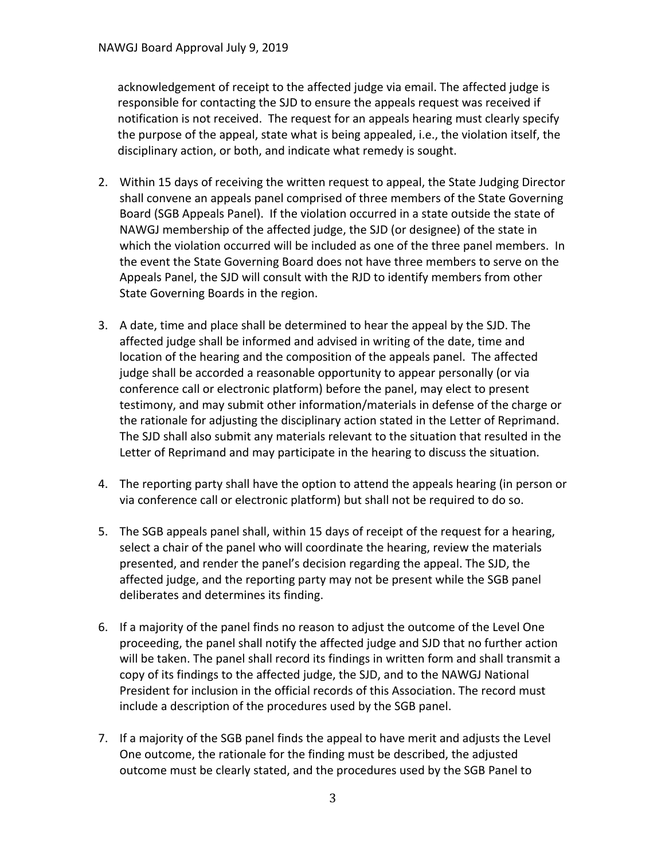acknowledgement of receipt to the affected judge via email. The affected judge is responsible for contacting the SJD to ensure the appeals request was received if notification is not received. The request for an appeals hearing must clearly specify the purpose of the appeal, state what is being appealed, i.e., the violation itself, the disciplinary action, or both, and indicate what remedy is sought.

- 2. Within 15 days of receiving the written request to appeal, the State Judging Director shall convene an appeals panel comprised of three members of the State Governing Board (SGB Appeals Panel). If the violation occurred in a state outside the state of NAWGJ membership of the affected judge, the SJD (or designee) of the state in which the violation occurred will be included as one of the three panel members. In the event the State Governing Board does not have three members to serve on the Appeals Panel, the SJD will consult with the RJD to identify members from other State Governing Boards in the region.
- 3. A date, time and place shall be determined to hear the appeal by the SJD. The affected judge shall be informed and advised in writing of the date, time and location of the hearing and the composition of the appeals panel. The affected judge shall be accorded a reasonable opportunity to appear personally (or via conference call or electronic platform) before the panel, may elect to present testimony, and may submit other information/materials in defense of the charge or the rationale for adjusting the disciplinary action stated in the Letter of Reprimand. The SJD shall also submit any materials relevant to the situation that resulted in the Letter of Reprimand and may participate in the hearing to discuss the situation.
- 4. The reporting party shall have the option to attend the appeals hearing (in person or via conference call or electronic platform) but shall not be required to do so.
- 5. The SGB appeals panel shall, within 15 days of receipt of the request for a hearing, select a chair of the panel who will coordinate the hearing, review the materials presented, and render the panel's decision regarding the appeal. The SJD, the affected judge, and the reporting party may not be present while the SGB panel deliberates and determines its finding.
- 6. If a majority of the panel finds no reason to adjust the outcome of the Level One proceeding, the panel shall notify the affected judge and SJD that no further action will be taken. The panel shall record its findings in written form and shall transmit a copy of its findings to the affected judge, the SJD, and to the NAWGJ National President for inclusion in the official records of this Association. The record must include a description of the procedures used by the SGB panel.
- 7. If a majority of the SGB panel finds the appeal to have merit and adjusts the Level One outcome, the rationale for the finding must be described, the adjusted outcome must be clearly stated, and the procedures used by the SGB Panel to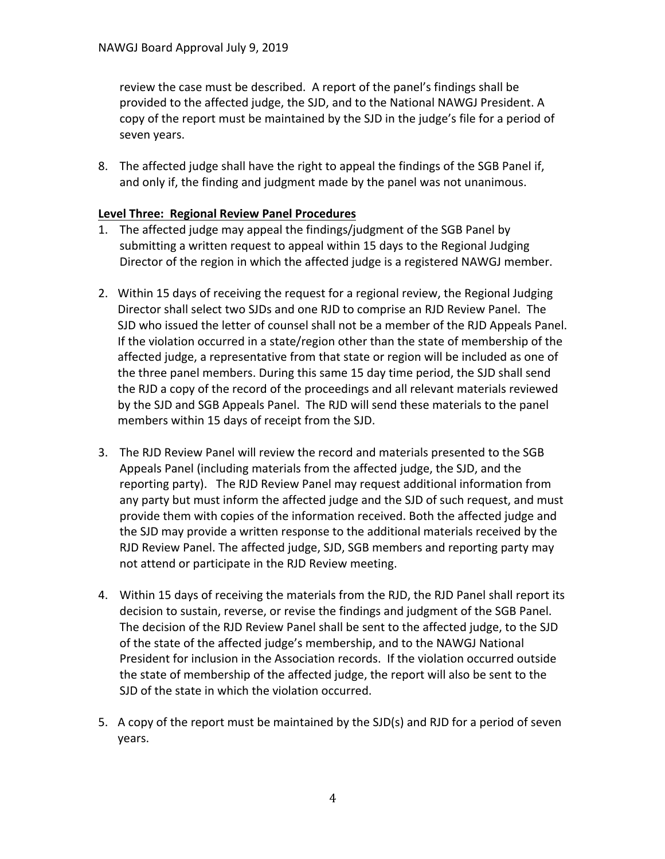review the case must be described. A report of the panel's findings shall be provided to the affected judge, the SJD, and to the National NAWGJ President. A copy of the report must be maintained by the SJD in the judge's file for a period of seven years.

8. The affected judge shall have the right to appeal the findings of the SGB Panel if, and only if, the finding and judgment made by the panel was not unanimous.

## **Level Three: Regional Review Panel Procedures**

- 1. The affected judge may appeal the findings/judgment of the SGB Panel by submitting a written request to appeal within 15 days to the Regional Judging Director of the region in which the affected judge is a registered NAWGJ member.
- 2. Within 15 days of receiving the request for a regional review, the Regional Judging Director shall select two SJDs and one RJD to comprise an RJD Review Panel. The SJD who issued the letter of counsel shall not be a member of the RJD Appeals Panel. If the violation occurred in a state/region other than the state of membership of the affected judge, a representative from that state or region will be included as one of the three panel members. During this same 15 day time period, the SJD shall send the RJD a copy of the record of the proceedings and all relevant materials reviewed by the SJD and SGB Appeals Panel. The RJD will send these materials to the panel members within 15 days of receipt from the SJD.
- 3. The RJD Review Panel will review the record and materials presented to the SGB Appeals Panel (including materials from the affected judge, the SJD, and the reporting party). The RJD Review Panel may request additional information from any party but must inform the affected judge and the SJD of such request, and must provide them with copies of the information received. Both the affected judge and the SJD may provide a written response to the additional materials received by the RJD Review Panel. The affected judge, SJD, SGB members and reporting party may not attend or participate in the RJD Review meeting.
- 4. Within 15 days of receiving the materials from the RJD, the RJD Panel shall report its decision to sustain, reverse, or revise the findings and judgment of the SGB Panel. The decision of the RJD Review Panel shall be sent to the affected judge, to the SJD of the state of the affected judge's membership, and to the NAWGJ National President for inclusion in the Association records. If the violation occurred outside the state of membership of the affected judge, the report will also be sent to the SJD of the state in which the violation occurred.
- 5. A copy of the report must be maintained by the SJD(s) and RJD for a period of seven years.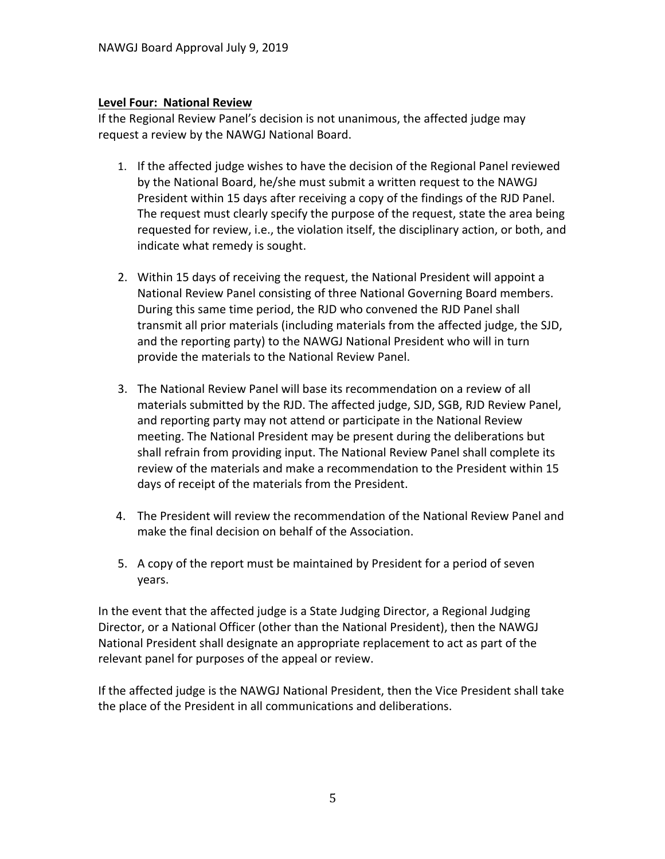#### **Level Four: National Review**

If the Regional Review Panel's decision is not unanimous, the affected judge may request a review by the NAWGJ National Board.

- 1. If the affected judge wishes to have the decision of the Regional Panel reviewed by the National Board, he/she must submit a written request to the NAWGJ President within 15 days after receiving a copy of the findings of the RJD Panel. The request must clearly specify the purpose of the request, state the area being requested for review, i.e., the violation itself, the disciplinary action, or both, and indicate what remedy is sought.
- 2. Within 15 days of receiving the request, the National President will appoint a National Review Panel consisting of three National Governing Board members. During this same time period, the RJD who convened the RJD Panel shall transmit all prior materials (including materials from the affected judge, the SJD, and the reporting party) to the NAWGJ National President who will in turn provide the materials to the National Review Panel.
- 3. The National Review Panel will base its recommendation on a review of all materials submitted by the RJD. The affected judge, SJD, SGB, RJD Review Panel, and reporting party may not attend or participate in the National Review meeting. The National President may be present during the deliberations but shall refrain from providing input. The National Review Panel shall complete its review of the materials and make a recommendation to the President within 15 days of receipt of the materials from the President.
- 4. The President will review the recommendation of the National Review Panel and make the final decision on behalf of the Association.
- 5. A copy of the report must be maintained by President for a period of seven years.

In the event that the affected judge is a State Judging Director, a Regional Judging Director, or a National Officer (other than the National President), then the NAWGJ National President shall designate an appropriate replacement to act as part of the relevant panel for purposes of the appeal or review.

If the affected judge is the NAWGJ National President, then the Vice President shall take the place of the President in all communications and deliberations.